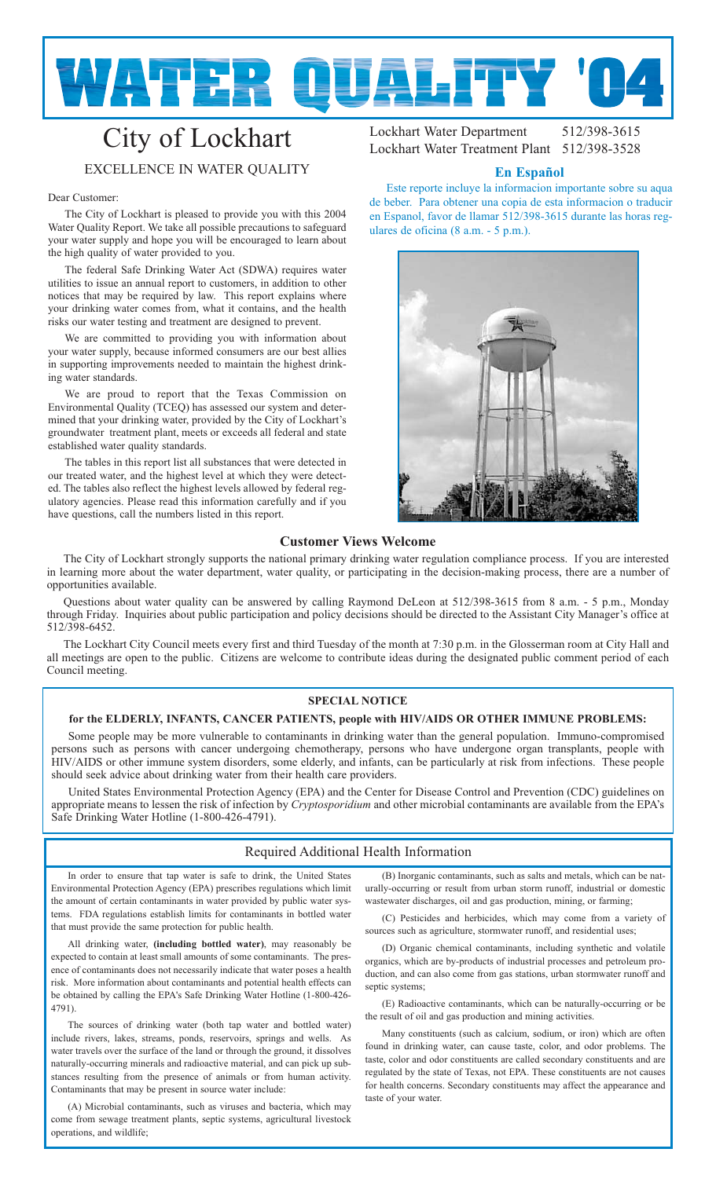

# City of Lockhart EXCELLENCE IN WATER QUALITY

#### Dear Customer:

The City of Lockhart is pleased to provide you with this 2004 Water Quality Report. We take all possible precautions to safeguard your water supply and hope you will be encouraged to learn about the high quality of water provided to you.

The federal Safe Drinking Water Act (SDWA) requires water utilities to issue an annual report to customers, in addition to other notices that may be required by law. This report explains where your drinking water comes from, what it contains, and the health risks our water testing and treatment are designed to prevent.

We are committed to providing you with information about your water supply, because informed consumers are our best allies in supporting improvements needed to maintain the highest drinking water standards.

We are proud to report that the Texas Commission on Environmental Quality (TCEQ) has assessed our system and determined that your drinking water, provided by the City of Lockhart's groundwater treatment plant, meets or exceeds all federal and state established water quality standards.

The tables in this report list all substances that were detected in our treated water, and the highest level at which they were detected. The tables also reflect the highest levels allowed by federal regulatory agencies. Please read this information carefully and if you have questions, call the numbers listed in this report.

Lockhart Water Department 512/398-3615 Lockhart Water Treatment Plant 512/398-3528

## **En Español**

Este reporte incluye la informacion importante sobre su aqua de beber. Para obtener una copia de esta informacion o traducir en Espanol, favor de llamar 512/398-3615 durante las horas regulares de oficina (8 a.m. - 5 p.m.).



## **Customer Views Welcome**

The City of Lockhart strongly supports the national primary drinking water regulation compliance process. If you are interested in learning more about the water department, water quality, or participating in the decision-making process, there are a number of opportunities available.

Questions about water quality can be answered by calling Raymond DeLeon at 512/398-3615 from 8 a.m. - 5 p.m., Monday through Friday. Inquiries about public participation and policy decisions should be directed to the Assistant City Manager's office at 512/398-6452.

The Lockhart City Council meets every first and third Tuesday of the month at 7:30 p.m. in the Glosserman room at City Hall and all meetings are open to the public. Citizens are welcome to contribute ideas during the designated public comment period of each Council meeting.

#### **SPECIAL NOTICE**

## **for the ELDERLY, INFANTS, CANCER PATIENTS, people with HIV/AIDS OR OTHER IMMUNE PROBLEMS:**

Some people may be more vulnerable to contaminants in drinking water than the general population. Immuno-compromised persons such as persons with cancer undergoing chemotherapy, persons who have undergone organ transplants, people with HIV/AIDS or other immune system disorders, some elderly, and infants, can be particularly at risk from infections. These people should seek advice about drinking water from their health care providers.

United States Environmental Protection Agency (EPA) and the Center for Disease Control and Prevention (CDC) guidelines on appropriate means to lessen the risk of infection by *Cryptosporidium* and other microbial contaminants are available from the EPA's Safe Drinking Water Hotline (1-800-426-4791).

## Required Additional Health Information

In order to ensure that tap water is safe to drink, the United States Environmental Protection Agency (EPA) prescribes regulations which limit the amount of certain contaminants in water provided by public water systems. FDA regulations establish limits for contaminants in bottled water that must provide the same protection for public health.

All drinking water, **(including bottled water)**, may reasonably be expected to contain at least small amounts of some contaminants. The presence of contaminants does not necessarily indicate that water poses a health risk. More information about contaminants and potential health effects can be obtained by calling the EPA's Safe Drinking Water Hotline (1-800-426- 4791).

The sources of drinking water (both tap water and bottled water) include rivers, lakes, streams, ponds, reservoirs, springs and wells. As water travels over the surface of the land or through the ground, it dissolves naturally-occurring minerals and radioactive material, and can pick up substances resulting from the presence of animals or from human activity. Contaminants that may be present in source water include:

A) Microbial contaminants, such as viruses and bacteria, which may come from sewage treatment plants, septic systems, agricultural livestock operations, and wildlife;

(B) Inorganic contaminants, such as salts and metals, which can be naturally-occurring or result from urban storm runoff, industrial or domestic wastewater discharges, oil and gas production, mining, or farming;

(C) Pesticides and herbicides, which may come from a variety of sources such as agriculture, stormwater runoff, and residential uses;

(D) Organic chemical contaminants, including synthetic and volatile organics, which are by-products of industrial processes and petroleum production, and can also come from gas stations, urban stormwater runoff and septic systems;

(E) Radioactive contaminants, which can be naturally-occurring or be the result of oil and gas production and mining activities.

Many constituents (such as calcium, sodium, or iron) which are often found in drinking water, can cause taste, color, and odor problems. The taste, color and odor constituents are called secondary constituents and are regulated by the state of Texas, not EPA. These constituents are not causes for health concerns. Secondary constituents may affect the appearance and taste of your water.